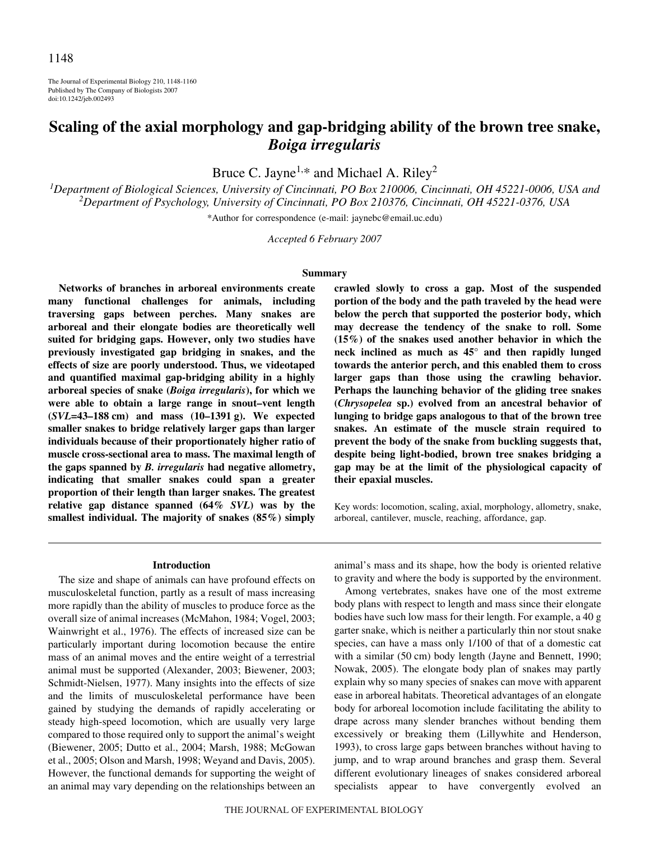The Journal of Experimental Biology 210, 1148-1160 Published by The Company of Biologists 2007 doi:10.1242/jeb.002493

# **Scaling of the axial morphology and gap-bridging ability of the brown tree snake,** *Boiga irregularis*

Bruce C. Jayne<sup>1,\*</sup> and Michael A. Riley<sup>2</sup>

*1 Department of Biological Sciences, University of Cincinnati, PO Box 210006, Cincinnati, OH 45221-0006, USA and 2 Department of Psychology, University of Cincinnati, PO Box 210376, Cincinnati, OH 45221-0376, USA*

\*Author for correspondence (e-mail: jaynebc@email.uc.edu)

*Accepted 6 February 2007*

#### **Summary**

**Networks of branches in arboreal environments create many functional challenges for animals, including traversing gaps between perches. Many snakes are arboreal and their elongate bodies are theoretically well suited for bridging gaps. However, only two studies have previously investigated gap bridging in snakes, and the effects of size are poorly understood. Thus, we videotaped and quantified maximal gap-bridging ability in a highly arboreal species of snake (***Boiga irregularis***), for which we were able to obtain a large range in snout–vent length**  $(SVL=43-188$  cm) and mass  $(10-1391)$ g). We expected **smaller snakes to bridge relatively larger gaps than larger individuals because of their proportionately higher ratio of muscle cross-sectional area to mass. The maximal length of the gaps spanned by** *B. irregularis* **had negative allometry, indicating that smaller snakes could span a greater proportion of their length than larger snakes. The greatest relative gap distance spanned (64%** *SVL***) was by the smallest individual. The majority of snakes (85%) simply**

**crawled slowly to cross a gap. Most of the suspended portion of the body and the path traveled by the head were below the perch that supported the posterior body, which may decrease the tendency of the snake to roll. Some (15%) of the snakes used another behavior in which the neck inclined as much as 45° and then rapidly lunged towards the anterior perch, and this enabled them to cross larger gaps than those using the crawling behavior. Perhaps the launching behavior of the gliding tree snakes (***Chrysopelea* **sp.) evolved from an ancestral behavior of lunging to bridge gaps analogous to that of the brown tree snakes. An estimate of the muscle strain required to prevent the body of the snake from buckling suggests that, despite being light-bodied, brown tree snakes bridging a gap may be at the limit of the physiological capacity of their epaxial muscles.**

Key words: locomotion, scaling, axial, morphology, allometry, snake, arboreal, cantilever, muscle, reaching, affordance, gap.

#### **Introduction**

The size and shape of animals can have profound effects on musculoskeletal function, partly as a result of mass increasing more rapidly than the ability of muscles to produce force as the overall size of animal increases (McMahon, 1984; Vogel, 2003; Wainwright et al., 1976). The effects of increased size can be particularly important during locomotion because the entire mass of an animal moves and the entire weight of a terrestrial animal must be supported (Alexander, 2003; Biewener, 2003; Schmidt-Nielsen, 1977). Many insights into the effects of size and the limits of musculoskeletal performance have been gained by studying the demands of rapidly accelerating or steady high-speed locomotion, which are usually very large compared to those required only to support the animal's weight (Biewener, 2005; Dutto et al., 2004; Marsh, 1988; McGowan et al., 2005; Olson and Marsh, 1998; Weyand and Davis, 2005). However, the functional demands for supporting the weight of an animal may vary depending on the relationships between an animal's mass and its shape, how the body is oriented relative to gravity and where the body is supported by the environment.

Among vertebrates, snakes have one of the most extreme body plans with respect to length and mass since their elongate bodies have such low mass for their length. For example, a 40 g garter snake, which is neither a particularly thin nor stout snake species, can have a mass only 1/100 of that of a domestic cat with a similar  $(50 \text{ cm})$  body length (Jayne and Bennett, 1990; Nowak, 2005). The elongate body plan of snakes may partly explain why so many species of snakes can move with apparent ease in arboreal habitats. Theoretical advantages of an elongate body for arboreal locomotion include facilitating the ability to drape across many slender branches without bending them excessively or breaking them (Lillywhite and Henderson, 1993), to cross large gaps between branches without having to jump, and to wrap around branches and grasp them. Several different evolutionary lineages of snakes considered arboreal specialists appear to have convergently evolved an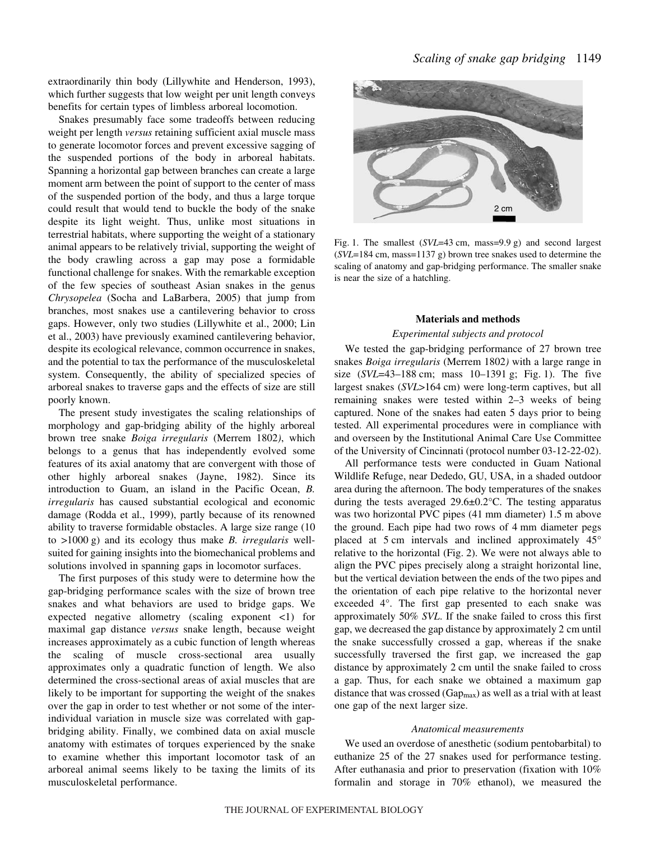extraordinarily thin body (Lillywhite and Henderson, 1993), which further suggests that low weight per unit length conveys benefits for certain types of limbless arboreal locomotion.

Snakes presumably face some tradeoffs between reducing weight per length *versus* retaining sufficient axial muscle mass to generate locomotor forces and prevent excessive sagging of the suspended portions of the body in arboreal habitats. Spanning a horizontal gap between branches can create a large moment arm between the point of support to the center of mass of the suspended portion of the body, and thus a large torque could result that would tend to buckle the body of the snake despite its light weight. Thus, unlike most situations in terrestrial habitats, where supporting the weight of a stationary animal appears to be relatively trivial, supporting the weight of the body crawling across a gap may pose a formidable functional challenge for snakes. With the remarkable exception of the few species of southeast Asian snakes in the genus *Chrysopelea* (Socha and LaBarbera, 2005) that jump from branches, most snakes use a cantilevering behavior to cross gaps. However, only two studies (Lillywhite et al., 2000; Lin et al., 2003) have previously examined cantilevering behavior, despite its ecological relevance, common occurrence in snakes, and the potential to tax the performance of the musculoskeletal system. Consequently, the ability of specialized species of arboreal snakes to traverse gaps and the effects of size are still poorly known.

The present study investigates the scaling relationships of morphology and gap-bridging ability of the highly arboreal brown tree snake *Boiga irregularis* (Merrem 1802*)*, which belongs to a genus that has independently evolved some features of its axial anatomy that are convergent with those of other highly arboreal snakes (Jayne, 1982). Since its introduction to Guam, an island in the Pacific Ocean, *B. irregularis* has caused substantial ecological and economic damage (Rodda et al., 1999), partly because of its renowned ability to traverse formidable obstacles. A large size range (10 to >1000 g) and its ecology thus make *B. irregularis* wellsuited for gaining insights into the biomechanical problems and solutions involved in spanning gaps in locomotor surfaces.

The first purposes of this study were to determine how the gap-bridging performance scales with the size of brown tree snakes and what behaviors are used to bridge gaps. We expected negative allometry (scaling exponent <1) for maximal gap distance *versus* snake length, because weight increases approximately as a cubic function of length whereas the scaling of muscle cross-sectional area usually approximates only a quadratic function of length. We also determined the cross-sectional areas of axial muscles that are likely to be important for supporting the weight of the snakes over the gap in order to test whether or not some of the interindividual variation in muscle size was correlated with gapbridging ability. Finally, we combined data on axial muscle anatomy with estimates of torques experienced by the snake to examine whether this important locomotor task of an arboreal animal seems likely to be taxing the limits of its musculoskeletal performance.



Fig. 1. The smallest (*SVL*=43 cm, mass=9.9 g) and second largest  $(SVL=184$  cm, mass=1137 g) brown tree snakes used to determine the scaling of anatomy and gap-bridging performance. The smaller snake is near the size of a hatchling.

#### **Materials and methods**

### *Experimental subjects and protocol*

We tested the gap-bridging performance of 27 brown tree snakes *Boiga irregularis* (Merrem 1802*)* with a large range in size  $(SVL=43-188$  cm; mass  $10-1391$  g; Fig. 1). The five largest snakes (*SVL*>164 cm) were long-term captives, but all remaining snakes were tested within 2–3 weeks of being captured. None of the snakes had eaten 5 days prior to being tested. All experimental procedures were in compliance with and overseen by the Institutional Animal Care Use Committee of the University of Cincinnati (protocol number 03-12-22-02).

All performance tests were conducted in Guam National Wildlife Refuge, near Dededo, GU, USA, in a shaded outdoor area during the afternoon. The body temperatures of the snakes during the tests averaged 29.6±0.2°C. The testing apparatus was two horizontal PVC pipes (41 mm diameter) 1.5 m above the ground. Each pipe had two rows of 4 mm diameter pegs placed at 5 cm intervals and inclined approximately  $45^{\circ}$ relative to the horizontal (Fig. 2). We were not always able to align the PVC pipes precisely along a straight horizontal line, but the vertical deviation between the ends of the two pipes and the orientation of each pipe relative to the horizontal never exceeded 4°. The first gap presented to each snake was approximately 50% *SVL*. If the snake failed to cross this first gap, we decreased the gap distance by approximately 2·cm until the snake successfully crossed a gap, whereas if the snake successfully traversed the first gap, we increased the gap distance by approximately 2 cm until the snake failed to cross a gap. Thus, for each snake we obtained a maximum gap distance that was crossed ( $Gap_{max}$ ) as well as a trial with at least one gap of the next larger size.

#### *Anatomical measurements*

We used an overdose of anesthetic (sodium pentobarbital) to euthanize 25 of the 27 snakes used for performance testing. After euthanasia and prior to preservation (fixation with 10% formalin and storage in 70% ethanol), we measured the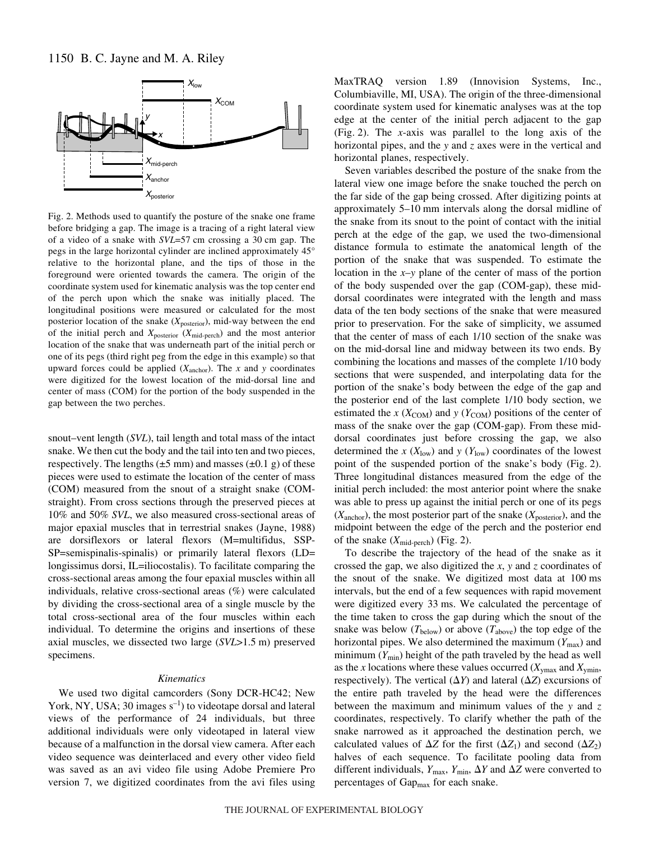

Fig. 2. Methods used to quantify the posture of the snake one frame before bridging a gap. The image is a tracing of a right lateral view of a video of a snake with *SVL*=57 cm crossing a 30 cm gap. The pegs in the large horizontal cylinder are inclined approximately 45° relative to the horizontal plane, and the tips of those in the foreground were oriented towards the camera. The origin of the coordinate system used for kinematic analysis was the top center end of the perch upon which the snake was initially placed. The longitudinal positions were measured or calculated for the most posterior location of the snake (*X*<sub>posterior</sub>), mid-way between the end of the initial perch and  $X_{posterior}$  ( $X_{mid-period}$ ) and the most anterior location of the snake that was underneath part of the initial perch or one of its pegs (third right peg from the edge in this example) so that upward forces could be applied  $(X_{\text{anchor}})$ . The *x* and *y* coordinates were digitized for the lowest location of the mid-dorsal line and center of mass (COM) for the portion of the body suspended in the gap between the two perches.

snout–vent length (*SVL*), tail length and total mass of the intact snake. We then cut the body and the tail into ten and two pieces, respectively. The lengths  $(\pm 5~\text{mm})$  and masses  $(\pm 0.1~\text{g})$  of these pieces were used to estimate the location of the center of mass (COM) measured from the snout of a straight snake (COMstraight). From cross sections through the preserved pieces at 10% and 50% *SVL*, we also measured cross-sectional areas of major epaxial muscles that in terrestrial snakes (Jayne, 1988) are dorsiflexors or lateral flexors (M=multifidus, SSP-SP=semispinalis-spinalis) or primarily lateral flexors (LD= longissimus dorsi, IL=iliocostalis). To facilitate comparing the cross-sectional areas among the four epaxial muscles within all individuals, relative cross-sectional areas (%) were calculated by dividing the cross-sectional area of a single muscle by the total cross-sectional area of the four muscles within each individual. To determine the origins and insertions of these axial muscles, we dissected two large (*SVL*>1.5 m) preserved specimens.

#### *Kinematics*

We used two digital camcorders (Sony DCR-HC42; New York, NY, USA; 30 images  $s^{-1}$ ) to videotape dorsal and lateral views of the performance of 24 individuals, but three additional individuals were only videotaped in lateral view because of a malfunction in the dorsal view camera. After each video sequence was deinterlaced and every other video field was saved as an avi video file using Adobe Premiere Pro version 7, we digitized coordinates from the avi files using MaxTRAQ version 1.89 (Innovision Systems, Inc., Columbiaville, MI, USA). The origin of the three-dimensional coordinate system used for kinematic analyses was at the top edge at the center of the initial perch adjacent to the gap (Fig. 2). The *x*-axis was parallel to the long axis of the horizontal pipes, and the *y* and *z* axes were in the vertical and horizontal planes, respectively.

Seven variables described the posture of the snake from the lateral view one image before the snake touched the perch on the far side of the gap being crossed. After digitizing points at approximately 5–10 mm intervals along the dorsal midline of the snake from its snout to the point of contact with the initial perch at the edge of the gap, we used the two-dimensional distance formula to estimate the anatomical length of the portion of the snake that was suspended. To estimate the location in the *x*–*y* plane of the center of mass of the portion of the body suspended over the gap (COM-gap), these middorsal coordinates were integrated with the length and mass data of the ten body sections of the snake that were measured prior to preservation. For the sake of simplicity, we assumed that the center of mass of each 1/10 section of the snake was on the mid-dorsal line and midway between its two ends. By combining the locations and masses of the complete 1/10 body sections that were suspended, and interpolating data for the portion of the snake's body between the edge of the gap and the posterior end of the last complete 1/10 body section, we estimated the  $x$  ( $X_{COM}$ ) and  $y$  ( $Y_{COM}$ ) positions of the center of mass of the snake over the gap (COM-gap). From these middorsal coordinates just before crossing the gap, we also determined the *x* ( $X_{low}$ ) and *y* ( $Y_{low}$ ) coordinates of the lowest point of the suspended portion of the snake's body (Fig. 2). Three longitudinal distances measured from the edge of the initial perch included: the most anterior point where the snake was able to press up against the initial perch or one of its pegs (*X*anchor), the most posterior part of the snake (*X*posterior), and the midpoint between the edge of the perch and the posterior end of the snake  $(X_{mid\text{-perch}})$  (Fig. 2).

To describe the trajectory of the head of the snake as it crossed the gap, we also digitized the *x*, *y* and *z* coordinates of the snout of the snake. We digitized most data at 100 ms intervals, but the end of a few sequences with rapid movement were digitized every 33 ms. We calculated the percentage of the time taken to cross the gap during which the snout of the snake was below  $(T_{\text{below}})$  or above  $(T_{\text{above}})$  the top edge of the horizontal pipes. We also determined the maximum ( $Y_{\text{max}}$ ) and minimum  $(Y_{min})$  height of the path traveled by the head as well as the *x* locations where these values occurred ( $X_{\text{ymax}}$  and  $X_{\text{ymin}}$ , respectively). The vertical  $(\Delta Y)$  and lateral  $(\Delta Z)$  excursions of the entire path traveled by the head were the differences between the maximum and minimum values of the *y* and *z* coordinates, respectively. To clarify whether the path of the snake narrowed as it approached the destination perch, we calculated values of  $\Delta Z$  for the first  $(\Delta Z_1)$  and second  $(\Delta Z_2)$ halves of each sequence. To facilitate pooling data from different individuals,  $Y_{\text{max}}$ ,  $Y_{\text{min}}$ ,  $\Delta Y$  and  $\Delta Z$  were converted to percentages of Gap<sub>max</sub> for each snake.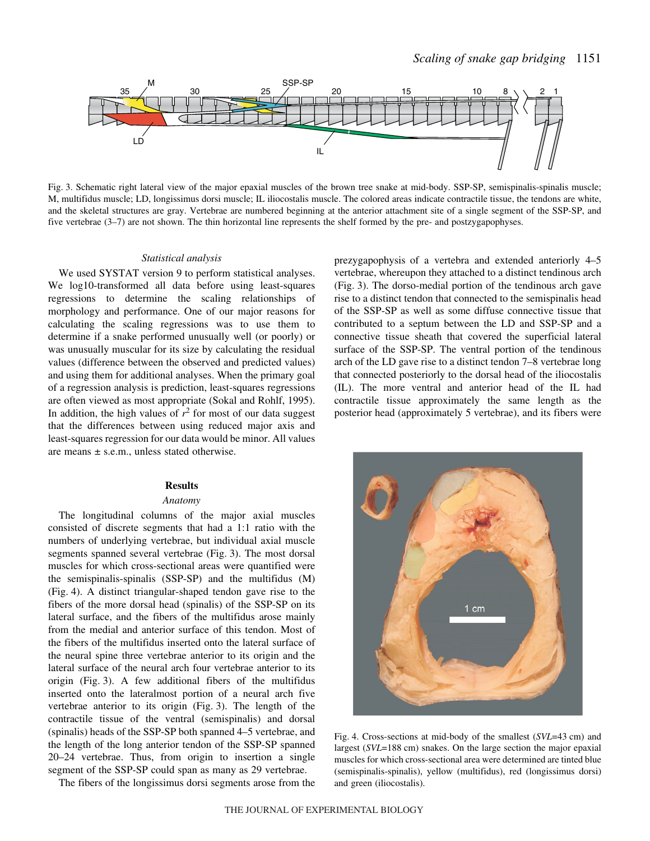![](_page_3_Figure_1.jpeg)

Fig. 3. Schematic right lateral view of the major epaxial muscles of the brown tree snake at mid-body. SSP-SP, semispinalis-spinalis muscle; M, multifidus muscle; LD, longissimus dorsi muscle; IL iliocostalis muscle. The colored areas indicate contractile tissue, the tendons are white, and the skeletal structures are gray. Vertebrae are numbered beginning at the anterior attachment site of a single segment of the SSP-SP, and five vertebrae (3-7) are not shown. The thin horizontal line represents the shelf formed by the pre- and postzygapophyses.

#### *Statistical analysis*

We used SYSTAT version 9 to perform statistical analyses. We log10-transformed all data before using least-squares regressions to determine the scaling relationships of morphology and performance. One of our major reasons for calculating the scaling regressions was to use them to determine if a snake performed unusually well (or poorly) or was unusually muscular for its size by calculating the residual values (difference between the observed and predicted values) and using them for additional analyses. When the primary goal of a regression analysis is prediction, least-squares regressions are often viewed as most appropriate (Sokal and Rohlf, 1995). In addition, the high values of  $r^2$  for most of our data suggest that the differences between using reduced major axis and least-squares regression for our data would be minor. All values are means  $\pm$  s.e.m., unless stated otherwise.

## **Results**

#### *Anatomy*

The longitudinal columns of the major axial muscles consisted of discrete segments that had a 1:1 ratio with the numbers of underlying vertebrae, but individual axial muscle segments spanned several vertebrae (Fig. 3). The most dorsal muscles for which cross-sectional areas were quantified were the semispinalis-spinalis (SSP-SP) and the multifidus (M)  $(Fig. 4)$ . A distinct triangular-shaped tendon gave rise to the fibers of the more dorsal head (spinalis) of the SSP-SP on its lateral surface, and the fibers of the multifidus arose mainly from the medial and anterior surface of this tendon. Most of the fibers of the multifidus inserted onto the lateral surface of the neural spine three vertebrae anterior to its origin and the lateral surface of the neural arch four vertebrae anterior to its origin (Fig. 3). A few additional fibers of the multifidus inserted onto the lateralmost portion of a neural arch five vertebrae anterior to its origin (Fig. 3). The length of the contractile tissue of the ventral (semispinalis) and dorsal (spinalis) heads of the SSP-SP both spanned 4–5 vertebrae, and the length of the long anterior tendon of the SSP-SP spanned 20–24 vertebrae. Thus, from origin to insertion a single segment of the SSP-SP could span as many as 29 vertebrae.

The fibers of the longissimus dorsi segments arose from the

prezygapophysis of a vertebra and extended anteriorly 4–5 vertebrae, whereupon they attached to a distinct tendinous arch (Fig. 3). The dorso-medial portion of the tendinous arch gave rise to a distinct tendon that connected to the semispinalis head of the SSP-SP as well as some diffuse connective tissue that contributed to a septum between the LD and SSP-SP and a connective tissue sheath that covered the superficial lateral surface of the SSP-SP. The ventral portion of the tendinous arch of the LD gave rise to a distinct tendon 7–8 vertebrae long that connected posteriorly to the dorsal head of the iliocostalis (IL). The more ventral and anterior head of the IL had contractile tissue approximately the same length as the posterior head (approximately 5 vertebrae), and its fibers were

![](_page_3_Figure_10.jpeg)

Fig. 4. Cross-sections at mid-body of the smallest (*SVL*=43 cm) and largest (*SVL*=188 cm) snakes. On the large section the major epaxial muscles for which cross-sectional area were determined are tinted blue (semispinalis-spinalis), yellow (multifidus), red (longissimus dorsi) and green (iliocostalis).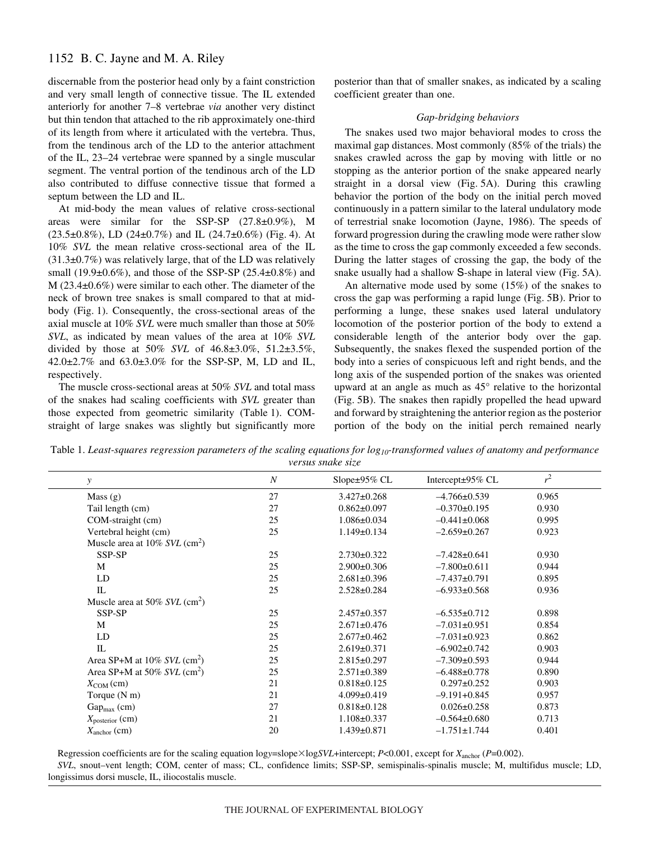## 1152 B. C. Jayne and M. A. Riley

discernable from the posterior head only by a faint constriction and very small length of connective tissue. The IL extended anteriorly for another 7–8 vertebrae *via* another very distinct but thin tendon that attached to the rib approximately one-third of its length from where it articulated with the vertebra. Thus, from the tendinous arch of the LD to the anterior attachment of the IL, 23–24 vertebrae were spanned by a single muscular segment. The ventral portion of the tendinous arch of the LD also contributed to diffuse connective tissue that formed a septum between the LD and IL.

At mid-body the mean values of relative cross-sectional areas were similar for the SSP-SP (27.8±0.9%), M  $(23.5\pm0.8\%)$ , LD  $(24\pm0.7\%)$  and IL  $(24.7\pm0.6\%)$  (Fig. 4). At 10% *SVL* the mean relative cross-sectional area of the IL  $(31.3\pm0.7\%)$  was relatively large, that of the LD was relatively small (19.9±0.6%), and those of the SSP-SP (25.4±0.8%) and M (23.4±0.6%) were similar to each other. The diameter of the neck of brown tree snakes is small compared to that at midbody (Fig. 1). Consequently, the cross-sectional areas of the axial muscle at 10% *SVL* were much smaller than those at 50% *SVL*, as indicated by mean values of the area at 10% *SVL* divided by those at 50% *SVL* of 46.8±3.0%, 51.2±3.5%,  $42.0 \pm 2.7\%$  and  $63.0 \pm 3.0\%$  for the SSP-SP, M, LD and IL, respectively.

The muscle cross-sectional areas at 50% *SVL* and total mass of the snakes had scaling coefficients with *SVL* greater than those expected from geometric similarity (Table 1). COMstraight of large snakes was slightly but significantly more posterior than that of smaller snakes, as indicated by a scaling coefficient greater than one.

### *Gap-bridging behaviors*

The snakes used two major behavioral modes to cross the maximal gap distances. Most commonly (85% of the trials) the snakes crawled across the gap by moving with little or no stopping as the anterior portion of the snake appeared nearly straight in a dorsal view (Fig. 5A). During this crawling behavior the portion of the body on the initial perch moved continuously in a pattern similar to the lateral undulatory mode of terrestrial snake locomotion (Jayne, 1986). The speeds of forward progression during the crawling mode were rather slow as the time to cross the gap commonly exceeded a few seconds. During the latter stages of crossing the gap, the body of the snake usually had a shallow S-shape in lateral view (Fig. 5A).

An alternative mode used by some (15%) of the snakes to cross the gap was performing a rapid lunge (Fig. 5B). Prior to performing a lunge, these snakes used lateral undulatory locomotion of the posterior portion of the body to extend a considerable length of the anterior body over the gap. Subsequently, the snakes flexed the suspended portion of the body into a series of conspicuous left and right bends, and the long axis of the suspended portion of the snakes was oriented upward at an angle as much as 45° relative to the horizontal (Fig. 5B). The snakes then rapidly propelled the head upward and forward by straightening the anterior region as the posterior portion of the body on the initial perch remained nearly

Table 1. Least-squares regression parameters of the scaling equations for log<sub>10</sub>-transformed values of anatomy and performance *versus snake size*

| y                                            | $\boldsymbol{N}$ | $Slope \pm 95\% CL$ | Intercept±95% CL   | $r^2$ |  |
|----------------------------------------------|------------------|---------------------|--------------------|-------|--|
| Mass $(g)$                                   | 27               | $3.427 \pm 0.268$   | $-4.766 \pm 0.539$ | 0.965 |  |
| Tail length (cm)                             | 27               | $0.862 \pm 0.097$   | $-0.370\pm0.195$   | 0.930 |  |
| COM-straight (cm)                            | 25               | $1.086 \pm 0.034$   | $-0.441\pm0.068$   | 0.995 |  |
| Vertebral height (cm)                        | 25               | $1.149 \pm 0.134$   | $-2.659 \pm 0.267$ | 0.923 |  |
| Muscle area at $10\%$ SVL (cm <sup>2</sup> ) |                  |                     |                    |       |  |
| SSP-SP                                       | 25               | $2.730 \pm 0.322$   | $-7.428 \pm 0.641$ | 0.930 |  |
| M                                            | 25               | $2.900 \pm 0.306$   | $-7.800 \pm 0.611$ | 0.944 |  |
| LD                                           | 25               | $2.681 \pm 0.396$   | $-7.437\pm0.791$   | 0.895 |  |
| IL                                           | 25               | $2.528 \pm 0.284$   | $-6.933\pm0.568$   | 0.936 |  |
| Muscle area at 50% $SVL$ (cm <sup>2</sup> )  |                  |                     |                    |       |  |
| SSP-SP                                       | 25               | $2.457 \pm 0.357$   | $-6.535 \pm 0.712$ | 0.898 |  |
| M                                            | 25               | $2.671 \pm 0.476$   | $-7.031 \pm 0.951$ | 0.854 |  |
| LD                                           | 25               | $2.677 \pm 0.462$   | $-7.031 \pm 0.923$ | 0.862 |  |
| $_{\rm IL}$                                  | 25               | $2.619 \pm 0.371$   | $-6.902\pm0.742$   | 0.903 |  |
| Area SP+M at $10\%$ SVL (cm <sup>2</sup> )   | 25               | $2.815 \pm 0.297$   | $-7.309 \pm 0.593$ | 0.944 |  |
| Area SP+M at 50% $SVL$ (cm <sup>2</sup> )    | 25               | $2.571 \pm 0.389$   | $-6.488 \pm 0.778$ | 0.890 |  |
| $X_{COM}$ (cm)                               | 21               | $0.818 \pm 0.125$   | $0.297 \pm 0.252$  | 0.903 |  |
| Torque (N m)                                 | 21               | $4.099 \pm 0.419$   | $-9.191 + 0.845$   | 0.957 |  |
| $Gap_{max}(cm)$                              | 27               | $0.818 \pm 0.128$   | $0.026 \pm 0.258$  | 0.873 |  |
| $X_{posterior}$ (cm)                         | 21               | $1.108 \pm 0.337$   | $-0.564\pm0.680$   | 0.713 |  |
| $X_{\text{anchor}}\left(\text{cm}\right)$    | 20               | 1.439±0.871         | $-1.751 \pm 1.744$ | 0.401 |  |

Regression coefficients are for the scaling equation logy=slope $\times$ log*SVL*+intercept; *P*<0.001, except for *X*<sub>anchor</sub> (*P*=0.002). *SVL*, snout–vent length; COM, center of mass; CL, confidence limits; SSP-SP, semispinalis-spinalis muscle; M, multifidus muscle; LD, longissimus dorsi muscle, IL, iliocostalis muscle.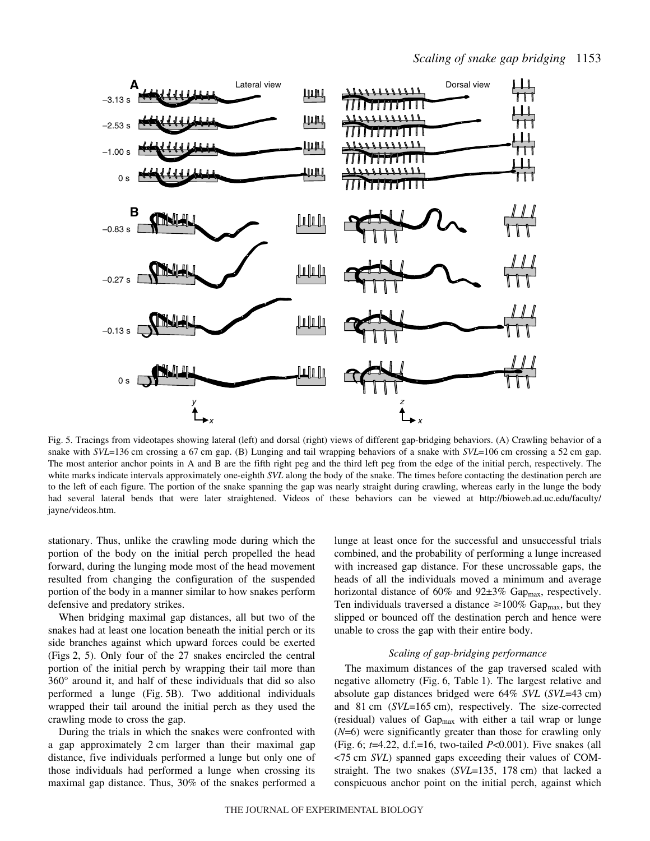![](_page_5_Figure_1.jpeg)

Fig. 5. Tracings from videotapes showing lateral (left) and dorsal (right) views of different gap-bridging behaviors. (A) Crawling behavior of a snake with *SVL*=136 cm crossing a 67 cm gap. (B) Lunging and tail wrapping behaviors of a snake with *SVL*=106 cm crossing a 52 cm gap. The most anterior anchor points in A and B are the fifth right peg and the third left peg from the edge of the initial perch, respectively. The white marks indicate intervals approximately one-eighth *SVL* along the body of the snake. The times before contacting the destination perch are to the left of each figure. The portion of the snake spanning the gap was nearly straight during crawling, whereas early in the lunge the body had several lateral bends that were later straightened. Videos of these behaviors can be viewed at http://bioweb.ad.uc.edu/faculty/ jayne/videos.htm.

stationary. Thus, unlike the crawling mode during which the portion of the body on the initial perch propelled the head forward, during the lunging mode most of the head movement resulted from changing the configuration of the suspended portion of the body in a manner similar to how snakes perform defensive and predatory strikes.

When bridging maximal gap distances, all but two of the snakes had at least one location beneath the initial perch or its side branches against which upward forces could be exerted (Figs 2, 5). Only four of the 27 snakes encircled the central portion of the initial perch by wrapping their tail more than 360° around it, and half of these individuals that did so also performed a lunge (Fig. 5B). Two additional individuals wrapped their tail around the initial perch as they used the crawling mode to cross the gap.

During the trials in which the snakes were confronted with a gap approximately 2 cm larger than their maximal gap distance, five individuals performed a lunge but only one of those individuals had performed a lunge when crossing its maximal gap distance. Thus, 30% of the snakes performed a lunge at least once for the successful and unsuccessful trials combined, and the probability of performing a lunge increased with increased gap distance. For these uncrossable gaps, the heads of all the individuals moved a minimum and average horizontal distance of 60% and  $92\pm3\%$  Gap<sub>max</sub>, respectively. Ten individuals traversed a distance  $\geq 100\%$  Gap<sub>max</sub>, but they slipped or bounced off the destination perch and hence were unable to cross the gap with their entire body.

## *Scaling of gap-bridging performance*

The maximum distances of the gap traversed scaled with negative allometry (Fig. 6, Table 1). The largest relative and absolute gap distances bridged were 64% *SVL* (*SVL*=43·cm) and 81 cm (*SVL*=165 cm), respectively. The size-corrected (residual) values of  $Gap_{max}$  with either a tail wrap or lunge (*N*=6) were significantly greater than those for crawling only (Fig. 6;  $t=4.22$ , d.f.=16, two-tailed  $P<0.001$ ). Five snakes (all <75 cm *SVL*) spanned gaps exceeding their values of COMstraight. The two snakes (*SVL*=135, 178 cm) that lacked a conspicuous anchor point on the initial perch, against which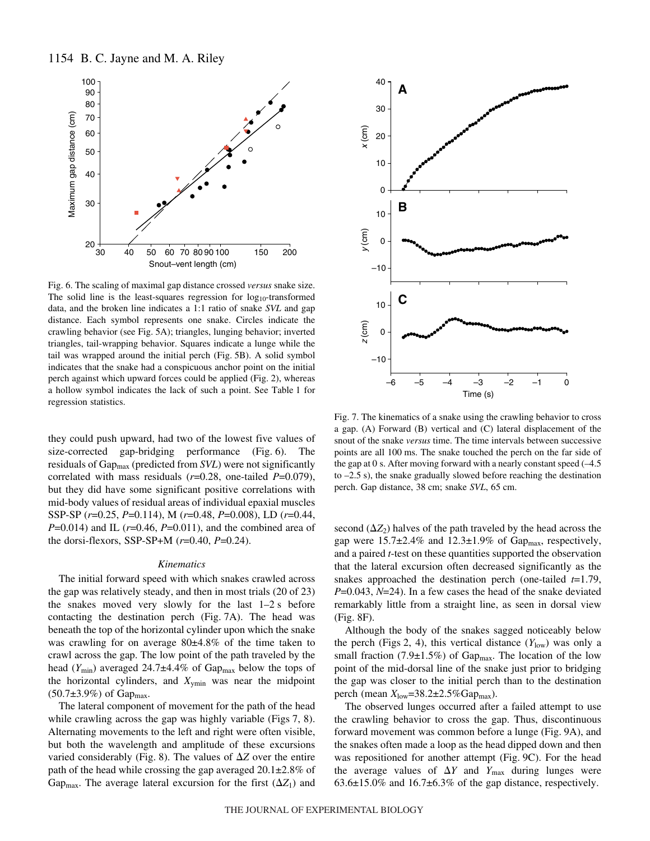![](_page_6_Figure_1.jpeg)

Fig. 6. The scaling of maximal gap distance crossed *versus* snake size. The solid line is the least-squares regression for  $log_{10}$ -transformed data, and the broken line indicates a 1:1 ratio of snake *SVL* and gap distance. Each symbol represents one snake. Circles indicate the crawling behavior (see Fig. 5A); triangles, lunging behavior; inverted triangles, tail-wrapping behavior. Squares indicate a lunge while the tail was wrapped around the initial perch (Fig. 5B). A solid symbol indicates that the snake had a conspicuous anchor point on the initial perch against which upward forces could be applied (Fig. 2), whereas a hollow symbol indicates the lack of such a point. See Table 1 for Time (s) Time (s)

they could push upward, had two of the lowest five values of size-corrected gap-bridging performance  $(Fig. 6)$ . The residuals of Gap<sub>max</sub> (predicted from *SVL*) were not significantly correlated with mass residuals (*r*=0.28, one-tailed *P*=0.079), but they did have some significant positive correlations with mid-body values of residual areas of individual epaxial muscles SSP-SP (*r*=0.25, *P*=0.114), M (*r*=0.48, *P*=0.008), LD (*r*=0.44, *P*=0.014) and IL (*r*=0.46, *P*=0.011), and the combined area of the dorsi-flexors, SSP-SP+M (*r*=0.40, *P*=0.24).

#### *Kinematics*

The initial forward speed with which snakes crawled across the gap was relatively steady, and then in most trials (20 of 23) the snakes moved very slowly for the last  $1-2$  s before contacting the destination perch (Fig. 7A). The head was beneath the top of the horizontal cylinder upon which the snake was crawling for on average 80±4.8% of the time taken to crawl across the gap. The low point of the path traveled by the head ( $Y_{\text{min}}$ ) averaged 24.7±4.4% of Gap<sub>max</sub> below the tops of the horizontal cylinders, and *X*ymin was near the midpoint  $(50.7 \pm 3.9\%)$  of Gap<sub>max</sub>.

The lateral component of movement for the path of the head while crawling across the gap was highly variable (Figs 7, 8). Alternating movements to the left and right were often visible, but both the wavelength and amplitude of these excursions varied considerably (Fig. 8). The values of  $\Delta Z$  over the entire path of the head while crossing the gap averaged  $20.1\pm2.8\%$  of Gap<sub>max</sub>. The average lateral excursion for the first  $(\Delta Z_1)$  and

![](_page_6_Figure_7.jpeg)

Fig. 7. The kinematics of a snake using the crawling behavior to cross a gap. (A) Forward (B) vertical and (C) lateral displacement of the snout of the snake *versus* time. The time intervals between successive points are all 100 ms. The snake touched the perch on the far side of the gap at 0 s. After moving forward with a nearly constant speed  $(-4.5)$ to  $-2.5$  s), the snake gradually slowed before reaching the destination perch. Gap distance, 38 cm; snake *SVL*, 65 cm.

second  $(\Delta Z_2)$  halves of the path traveled by the head across the gap were  $15.7\pm2.4\%$  and  $12.3\pm1.9\%$  of Gap<sub>max</sub>, respectively, and a paired *t*-test on these quantities supported the observation that the lateral excursion often decreased significantly as the snakes approached the destination perch (one-tailed *t*=1.79, *P*=0.043, *N*=24). In a few cases the head of the snake deviated remarkably little from a straight line, as seen in dorsal view  $(Fig. 8F)$ .

Although the body of the snakes sagged noticeably below the perch (Figs 2, 4), this vertical distance  $(Y_{low})$  was only a small fraction (7.9 $\pm$ 1.5%) of Gap<sub>max</sub>. The location of the low point of the mid-dorsal line of the snake just prior to bridging the gap was closer to the initial perch than to the destination perch (mean  $X_{\text{low}}$ =38.2±2.5%Gap<sub>max</sub>).

The observed lunges occurred after a failed attempt to use the crawling behavior to cross the gap. Thus, discontinuous forward movement was common before a lunge (Fig. 9A), and the snakes often made a loop as the head dipped down and then was repositioned for another attempt (Fig. 9C). For the head the average values of  $\Delta Y$  and  $Y_{\text{max}}$  during lunges were 63.6±15.0% and 16.7±6.3% of the gap distance, respectively.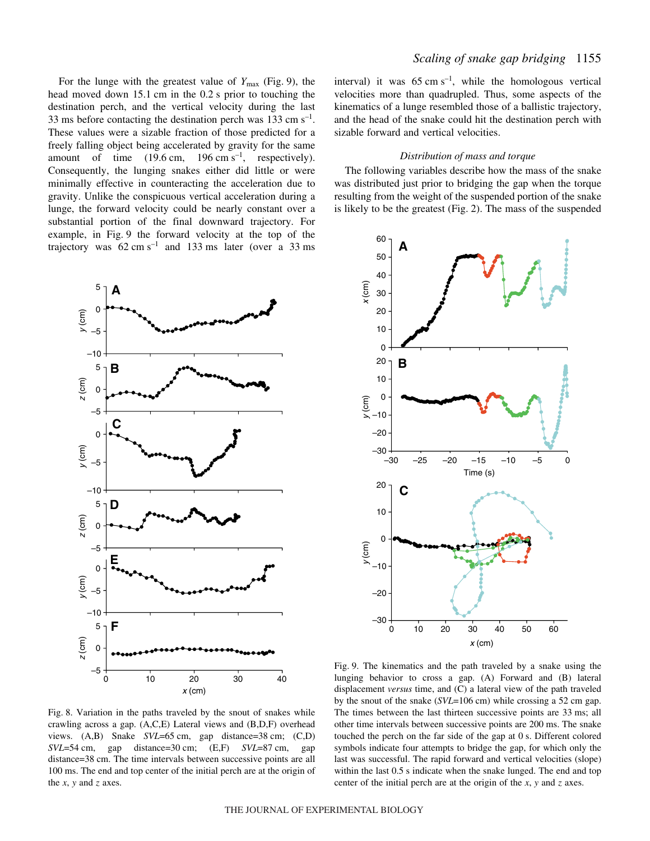For the lunge with the greatest value of  $Y_{\text{max}}$  (Fig. 9), the head moved down 15.1 cm in the  $0.2$  s prior to touching the destination perch, and the vertical velocity during the last 33 ms before contacting the destination perch was 133 cm  $s^{-1}$ . These values were a sizable fraction of those predicted for a freely falling object being accelerated by gravity for the same amount of time  $(19.6 \text{ cm}, 196 \text{ cm s}^{-1}, \text{ respectively}).$ Consequently, the lunging snakes either did little or were minimally effective in counteracting the acceleration due to gravity. Unlike the conspicuous vertical acceleration during a lunge, the forward velocity could be nearly constant over a substantial portion of the final downward trajectory. For example, in Fig. 9 the forward velocity at the top of the trajectory was  $62 \text{ cm s}^{-1}$  and 133 ms later (over a 33 ms

![](_page_7_Figure_1.jpeg)

interval) it was  $65 \text{ cm s}^{-1}$ , while the homologous vertical velocities more than quadrupled. Thus, some aspects of the kinematics of a lunge resembled those of a ballistic trajectory, and the head of the snake could hit the destination perch with sizable forward and vertical velocities.

#### *Distribution of mass and torque*

The following variables describe how the mass of the snake was distributed just prior to bridging the gap when the torque resulting from the weight of the suspended portion of the snake is likely to be the greatest (Fig. 2). The mass of the suspended

![](_page_7_Figure_6.jpeg)

Fig. 8. Variation in the paths traveled by the snout of snakes while crawling across a gap. (A,C,E) Lateral views and (B,D,F) overhead views. (A,B) Snake *SVL*=65 cm, gap distance=38 cm; (C,D) *SVL*=54 cm, gap distance=30 cm; (E,F) *SVL*=87 cm, gap distance=38 cm. The time intervals between successive points are all 100 ms. The end and top center of the initial perch are at the origin of the *x*, *y* and *z* axes.

Fig. 9. The kinematics and the path traveled by a snake using the lunging behavior to cross a gap. (A) Forward and (B) lateral displacement *versus* time, and (C) a lateral view of the path traveled by the snout of the snake (*SVL*=106 cm) while crossing a 52 cm gap. The times between the last thirteen successive points are 33 ms; all other time intervals between successive points are 200 ms. The snake touched the perch on the far side of the gap at  $0s$ . Different colored symbols indicate four attempts to bridge the gap, for which only the last was successful. The rapid forward and vertical velocities (slope) within the last 0.5 s indicate when the snake lunged. The end and top center of the initial perch are at the origin of the *x*, *y* and *z* axes.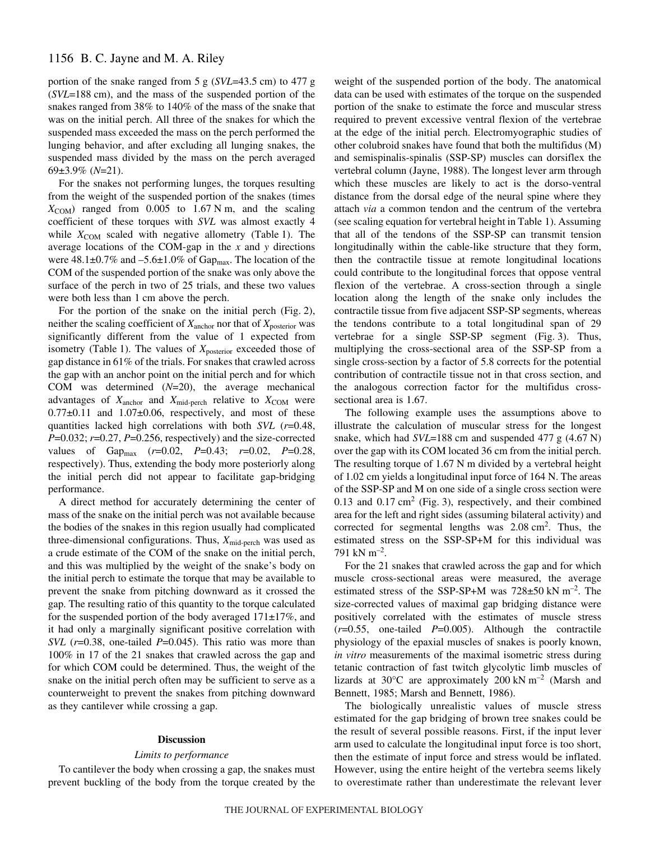portion of the snake ranged from 5 g (*SVL*=43.5 cm) to 477 g (*SVL*=188·cm), and the mass of the suspended portion of the snakes ranged from 38% to 140% of the mass of the snake that was on the initial perch. All three of the snakes for which the suspended mass exceeded the mass on the perch performed the lunging behavior, and after excluding all lunging snakes, the suspended mass divided by the mass on the perch averaged 69±3.9% (*N*=21).

For the snakes not performing lunges, the torques resulting from the weight of the suspended portion of the snakes (times  $X_{COM}$ ) ranged from  $0.005$  to  $1.67$  N m, and the scaling coefficient of these torques with *SVL* was almost exactly 4 while  $X_{COM}$  scaled with negative allometry (Table 1). The average locations of the COM-gap in the *x* and *y* directions were  $48.1\pm0.7\%$  and  $-5.6\pm1.0\%$  of Gap<sub>max</sub>. The location of the COM of the suspended portion of the snake was only above the surface of the perch in two of 25 trials, and these two values were both less than 1 cm above the perch.

For the portion of the snake on the initial perch  $(Fig. 2)$ , neither the scaling coefficient of  $X_{\text{anchor}}$  nor that of  $X_{\text{posterior}}$  was significantly different from the value of 1 expected from isometry (Table 1). The values of *X*<sub>posterior</sub> exceeded those of gap distance in 61% of the trials. For snakes that crawled across the gap with an anchor point on the initial perch and for which COM was determined (*N*=20), the average mechanical advantages of  $X_{\text{anchor}}$  and  $X_{\text{mid-period}}$  relative to  $X_{\text{COM}}$  were  $0.77\pm0.11$  and  $1.07\pm0.06$ , respectively, and most of these quantities lacked high correlations with both *SVL* (*r*=0.48, *P*=0.032; *r*=0.27, *P*=0.256, respectively) and the size-corrected values of Gapmax (*r*=0.02, *P*=0.43; *r*=0.02, *P*=0.28, respectively). Thus, extending the body more posteriorly along the initial perch did not appear to facilitate gap-bridging performance.

A direct method for accurately determining the center of mass of the snake on the initial perch was not available because the bodies of the snakes in this region usually had complicated three-dimensional configurations. Thus,  $X_{mid-perch}$  was used as a crude estimate of the COM of the snake on the initial perch, and this was multiplied by the weight of the snake's body on the initial perch to estimate the torque that may be available to prevent the snake from pitching downward as it crossed the gap. The resulting ratio of this quantity to the torque calculated for the suspended portion of the body averaged  $171\pm17\%$ , and it had only a marginally significant positive correlation with *SVL* (*r*=0.38, one-tailed *P*=0.045). This ratio was more than 100% in 17 of the 21 snakes that crawled across the gap and for which COM could be determined. Thus, the weight of the snake on the initial perch often may be sufficient to serve as a counterweight to prevent the snakes from pitching downward as they cantilever while crossing a gap.

#### **Discussion**

#### *Limits to performance*

To cantilever the body when crossing a gap, the snakes must prevent buckling of the body from the torque created by the weight of the suspended portion of the body. The anatomical data can be used with estimates of the torque on the suspended portion of the snake to estimate the force and muscular stress required to prevent excessive ventral flexion of the vertebrae at the edge of the initial perch. Electromyographic studies of other colubroid snakes have found that both the multifidus (M) and semispinalis-spinalis (SSP-SP) muscles can dorsiflex the vertebral column (Jayne, 1988). The longest lever arm through which these muscles are likely to act is the dorso-ventral distance from the dorsal edge of the neural spine where they attach *via* a common tendon and the centrum of the vertebra (see scaling equation for vertebral height in Table 1). Assuming that all of the tendons of the SSP-SP can transmit tension longitudinally within the cable-like structure that they form, then the contractile tissue at remote longitudinal locations could contribute to the longitudinal forces that oppose ventral flexion of the vertebrae. A cross-section through a single location along the length of the snake only includes the contractile tissue from five adjacent SSP-SP segments, whereas the tendons contribute to a total longitudinal span of 29 vertebrae for a single  $SSP-SP$  segment (Fig. 3). Thus, multiplying the cross-sectional area of the SSP-SP from a single cross-section by a factor of 5.8 corrects for the potential contribution of contractile tissue not in that cross section, and the analogous correction factor for the multifidus crosssectional area is 1.67.

The following example uses the assumptions above to illustrate the calculation of muscular stress for the longest snake, which had  $SVL=188$  cm and suspended 477 g  $(4.67 \text{ N})$ over the gap with its COM located 36 cm from the initial perch. The resulting torque of  $1.67 \text{ N}$  m divided by a vertebral height of 1.02 cm yields a longitudinal input force of 164 N. The areas of the SSP-SP and M on one side of a single cross section were 0.13 and 0.17  $\text{cm}^2$  (Fig. 3), respectively, and their combined area for the left and right sides (assuming bilateral activity) and corrected for segmental lengths was  $2.08 \text{ cm}^2$ . Thus, the estimated stress on the SSP-SP+M for this individual was 791 kN  $m^{-2}$ .

For the 21 snakes that crawled across the gap and for which muscle cross-sectional areas were measured, the average estimated stress of the SSP-SP+M was  $728\pm50$  kN m<sup>-2</sup>. The size-corrected values of maximal gap bridging distance were positively correlated with the estimates of muscle stress (*r*=0.55, one-tailed *P*=0.005). Although the contractile physiology of the epaxial muscles of snakes is poorly known, *in vitro* measurements of the maximal isometric stress during tetanic contraction of fast twitch glycolytic limb muscles of lizards at 30 $^{\circ}$ C are approximately 200 kN m<sup>-2</sup> (Marsh and Bennett, 1985; Marsh and Bennett, 1986).

The biologically unrealistic values of muscle stress estimated for the gap bridging of brown tree snakes could be the result of several possible reasons. First, if the input lever arm used to calculate the longitudinal input force is too short, then the estimate of input force and stress would be inflated. However, using the entire height of the vertebra seems likely to overestimate rather than underestimate the relevant lever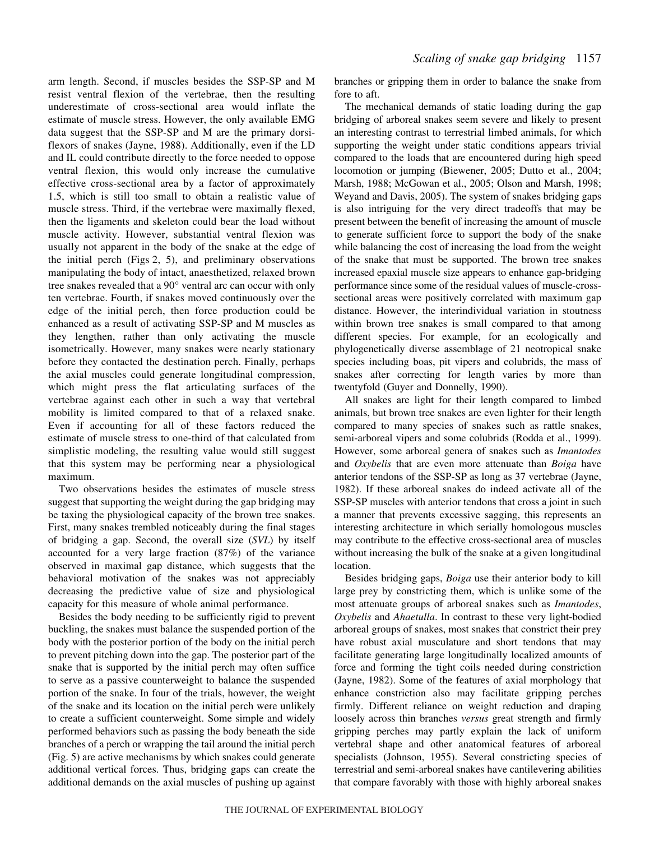arm length. Second, if muscles besides the SSP-SP and M resist ventral flexion of the vertebrae, then the resulting underestimate of cross-sectional area would inflate the estimate of muscle stress. However, the only available EMG data suggest that the SSP-SP and M are the primary dorsiflexors of snakes (Jayne, 1988). Additionally, even if the LD and IL could contribute directly to the force needed to oppose ventral flexion, this would only increase the cumulative effective cross-sectional area by a factor of approximately 1.5, which is still too small to obtain a realistic value of muscle stress. Third, if the vertebrae were maximally flexed, then the ligaments and skeleton could bear the load without muscle activity. However, substantial ventral flexion was usually not apparent in the body of the snake at the edge of the initial perch (Figs  $2, 5$ ), and preliminary observations manipulating the body of intact, anaesthetized, relaxed brown tree snakes revealed that a 90° ventral arc can occur with only ten vertebrae. Fourth, if snakes moved continuously over the edge of the initial perch, then force production could be enhanced as a result of activating SSP-SP and M muscles as they lengthen, rather than only activating the muscle isometrically. However, many snakes were nearly stationary before they contacted the destination perch. Finally, perhaps the axial muscles could generate longitudinal compression, which might press the flat articulating surfaces of the vertebrae against each other in such a way that vertebral mobility is limited compared to that of a relaxed snake. Even if accounting for all of these factors reduced the estimate of muscle stress to one-third of that calculated from simplistic modeling, the resulting value would still suggest that this system may be performing near a physiological maximum.

Two observations besides the estimates of muscle stress suggest that supporting the weight during the gap bridging may be taxing the physiological capacity of the brown tree snakes. First, many snakes trembled noticeably during the final stages of bridging a gap. Second, the overall size (*SVL*) by itself accounted for a very large fraction (87%) of the variance observed in maximal gap distance, which suggests that the behavioral motivation of the snakes was not appreciably decreasing the predictive value of size and physiological capacity for this measure of whole animal performance.

Besides the body needing to be sufficiently rigid to prevent buckling, the snakes must balance the suspended portion of the body with the posterior portion of the body on the initial perch to prevent pitching down into the gap. The posterior part of the snake that is supported by the initial perch may often suffice to serve as a passive counterweight to balance the suspended portion of the snake. In four of the trials, however, the weight of the snake and its location on the initial perch were unlikely to create a sufficient counterweight. Some simple and widely performed behaviors such as passing the body beneath the side branches of a perch or wrapping the tail around the initial perch (Fig. 5) are active mechanisms by which snakes could generate additional vertical forces. Thus, bridging gaps can create the additional demands on the axial muscles of pushing up against branches or gripping them in order to balance the snake from fore to aft.

The mechanical demands of static loading during the gap bridging of arboreal snakes seem severe and likely to present an interesting contrast to terrestrial limbed animals, for which supporting the weight under static conditions appears trivial compared to the loads that are encountered during high speed locomotion or jumping (Biewener, 2005; Dutto et al., 2004; Marsh, 1988; McGowan et al., 2005; Olson and Marsh, 1998; Weyand and Davis, 2005). The system of snakes bridging gaps is also intriguing for the very direct tradeoffs that may be present between the benefit of increasing the amount of muscle to generate sufficient force to support the body of the snake while balancing the cost of increasing the load from the weight of the snake that must be supported. The brown tree snakes increased epaxial muscle size appears to enhance gap-bridging performance since some of the residual values of muscle-crosssectional areas were positively correlated with maximum gap distance. However, the interindividual variation in stoutness within brown tree snakes is small compared to that among different species. For example, for an ecologically and phylogenetically diverse assemblage of 21 neotropical snake species including boas, pit vipers and colubrids, the mass of snakes after correcting for length varies by more than twentyfold (Guyer and Donnelly, 1990).

All snakes are light for their length compared to limbed animals, but brown tree snakes are even lighter for their length compared to many species of snakes such as rattle snakes, semi-arboreal vipers and some colubrids (Rodda et al., 1999). However, some arboreal genera of snakes such as *Imantodes* and *Oxybelis* that are even more attenuate than *Boiga* have anterior tendons of the SSP-SP as long as 37 vertebrae (Jayne, 1982). If these arboreal snakes do indeed activate all of the SSP-SP muscles with anterior tendons that cross a joint in such a manner that prevents excessive sagging, this represents an interesting architecture in which serially homologous muscles may contribute to the effective cross-sectional area of muscles without increasing the bulk of the snake at a given longitudinal location.

Besides bridging gaps, *Boiga* use their anterior body to kill large prey by constricting them, which is unlike some of the most attenuate groups of arboreal snakes such as *Imantodes*, *Oxybelis* and *Ahaetulla*. In contrast to these very light-bodied arboreal groups of snakes, most snakes that constrict their prey have robust axial musculature and short tendons that may facilitate generating large longitudinally localized amounts of force and forming the tight coils needed during constriction (Jayne, 1982). Some of the features of axial morphology that enhance constriction also may facilitate gripping perches firmly. Different reliance on weight reduction and draping loosely across thin branches *versus* great strength and firmly gripping perches may partly explain the lack of uniform vertebral shape and other anatomical features of arboreal specialists (Johnson, 1955). Several constricting species of terrestrial and semi-arboreal snakes have cantilevering abilities that compare favorably with those with highly arboreal snakes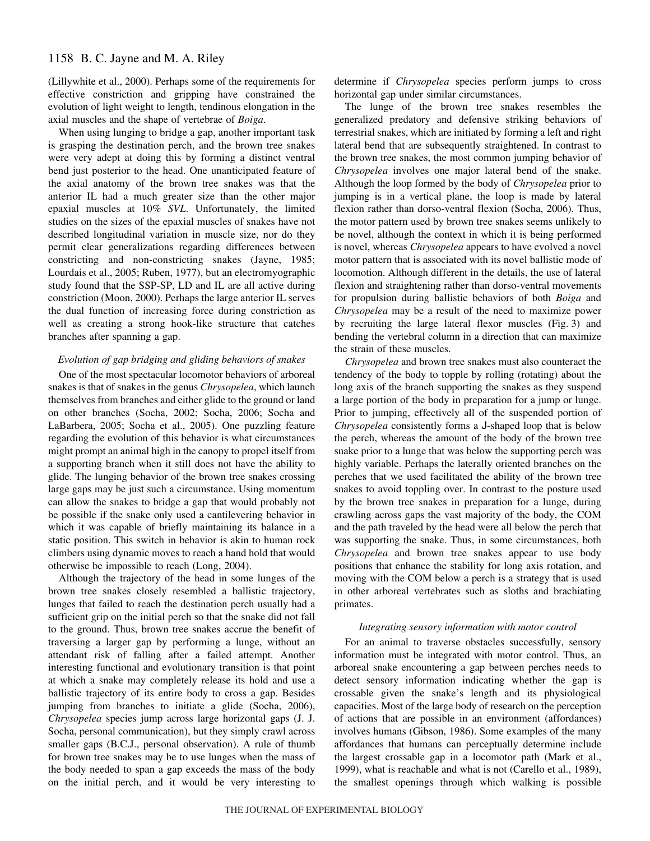## 1158 B. C. Jayne and M. A. Riley

(Lillywhite et al., 2000). Perhaps some of the requirements for effective constriction and gripping have constrained the evolution of light weight to length, tendinous elongation in the axial muscles and the shape of vertebrae of *Boiga*.

When using lunging to bridge a gap, another important task is grasping the destination perch, and the brown tree snakes were very adept at doing this by forming a distinct ventral bend just posterior to the head. One unanticipated feature of the axial anatomy of the brown tree snakes was that the anterior IL had a much greater size than the other major epaxial muscles at 10% *SVL*. Unfortunately, the limited studies on the sizes of the epaxial muscles of snakes have not described longitudinal variation in muscle size, nor do they permit clear generalizations regarding differences between constricting and non-constricting snakes (Jayne, 1985; Lourdais et al., 2005; Ruben, 1977), but an electromyographic study found that the SSP-SP, LD and IL are all active during constriction (Moon, 2000). Perhaps the large anterior IL serves the dual function of increasing force during constriction as well as creating a strong hook-like structure that catches branches after spanning a gap.

## *Evolution of gap bridging and gliding behaviors of snakes*

One of the most spectacular locomotor behaviors of arboreal snakes is that of snakes in the genus *Chrysopelea*, which launch themselves from branches and either glide to the ground or land on other branches (Socha, 2002; Socha, 2006; Socha and LaBarbera, 2005; Socha et al., 2005). One puzzling feature regarding the evolution of this behavior is what circumstances might prompt an animal high in the canopy to propel itself from a supporting branch when it still does not have the ability to glide. The lunging behavior of the brown tree snakes crossing large gaps may be just such a circumstance. Using momentum can allow the snakes to bridge a gap that would probably not be possible if the snake only used a cantilevering behavior in which it was capable of briefly maintaining its balance in a static position. This switch in behavior is akin to human rock climbers using dynamic moves to reach a hand hold that would otherwise be impossible to reach (Long, 2004).

Although the trajectory of the head in some lunges of the brown tree snakes closely resembled a ballistic trajectory, lunges that failed to reach the destination perch usually had a sufficient grip on the initial perch so that the snake did not fall to the ground. Thus, brown tree snakes accrue the benefit of traversing a larger gap by performing a lunge, without an attendant risk of falling after a failed attempt. Another interesting functional and evolutionary transition is that point at which a snake may completely release its hold and use a ballistic trajectory of its entire body to cross a gap. Besides jumping from branches to initiate a glide (Socha, 2006), *Chrysopelea* species jump across large horizontal gaps (J. J. Socha, personal communication), but they simply crawl across smaller gaps (B.C.J., personal observation). A rule of thumb for brown tree snakes may be to use lunges when the mass of the body needed to span a gap exceeds the mass of the body on the initial perch, and it would be very interesting to determine if *Chrysopelea* species perform jumps to cross horizontal gap under similar circumstances.

The lunge of the brown tree snakes resembles the generalized predatory and defensive striking behaviors of terrestrial snakes, which are initiated by forming a left and right lateral bend that are subsequently straightened. In contrast to the brown tree snakes, the most common jumping behavior of *Chrysopelea* involves one major lateral bend of the snake. Although the loop formed by the body of *Chrysopelea* prior to jumping is in a vertical plane, the loop is made by lateral flexion rather than dorso-ventral flexion (Socha, 2006). Thus, the motor pattern used by brown tree snakes seems unlikely to be novel, although the context in which it is being performed is novel, whereas *Chrysopelea* appears to have evolved a novel motor pattern that is associated with its novel ballistic mode of locomotion. Although different in the details, the use of lateral flexion and straightening rather than dorso-ventral movements for propulsion during ballistic behaviors of both *Boiga* and *Chrysopelea* may be a result of the need to maximize power by recruiting the large lateral flexor muscles (Fig. 3) and bending the vertebral column in a direction that can maximize the strain of these muscles.

*Chrysopelea* and brown tree snakes must also counteract the tendency of the body to topple by rolling (rotating) about the long axis of the branch supporting the snakes as they suspend a large portion of the body in preparation for a jump or lunge. Prior to jumping, effectively all of the suspended portion of *Chrysopelea* consistently forms a J-shaped loop that is below the perch, whereas the amount of the body of the brown tree snake prior to a lunge that was below the supporting perch was highly variable. Perhaps the laterally oriented branches on the perches that we used facilitated the ability of the brown tree snakes to avoid toppling over. In contrast to the posture used by the brown tree snakes in preparation for a lunge, during crawling across gaps the vast majority of the body, the COM and the path traveled by the head were all below the perch that was supporting the snake. Thus, in some circumstances, both *Chrysopelea* and brown tree snakes appear to use body positions that enhance the stability for long axis rotation, and moving with the COM below a perch is a strategy that is used in other arboreal vertebrates such as sloths and brachiating primates.

#### *Integrating sensory information with motor control*

For an animal to traverse obstacles successfully, sensory information must be integrated with motor control. Thus, an arboreal snake encountering a gap between perches needs to detect sensory information indicating whether the gap is crossable given the snake's length and its physiological capacities. Most of the large body of research on the perception of actions that are possible in an environment (affordances) involves humans (Gibson, 1986). Some examples of the many affordances that humans can perceptually determine include the largest crossable gap in a locomotor path (Mark et al., 1999), what is reachable and what is not (Carello et al., 1989), the smallest openings through which walking is possible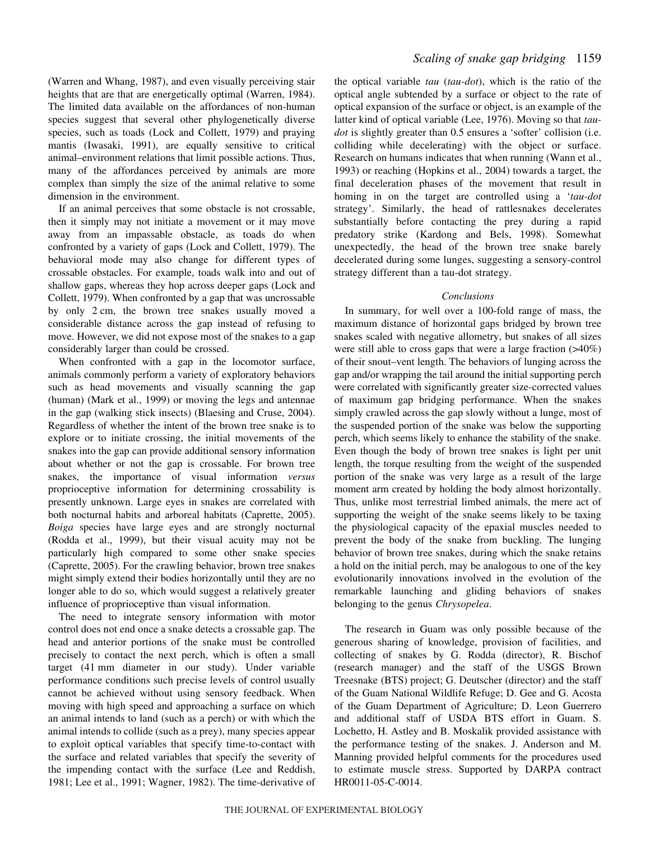(Warren and Whang, 1987), and even visually perceiving stair heights that are that are energetically optimal (Warren, 1984). The limited data available on the affordances of non-human species suggest that several other phylogenetically diverse species, such as toads (Lock and Collett, 1979) and praying mantis (Iwasaki, 1991), are equally sensitive to critical animal–environment relations that limit possible actions. Thus, many of the affordances perceived by animals are more complex than simply the size of the animal relative to some dimension in the environment.

If an animal perceives that some obstacle is not crossable, then it simply may not initiate a movement or it may move away from an impassable obstacle, as toads do when confronted by a variety of gaps (Lock and Collett, 1979). The behavioral mode may also change for different types of crossable obstacles. For example, toads walk into and out of shallow gaps, whereas they hop across deeper gaps (Lock and Collett, 1979). When confronted by a gap that was uncrossable by only 2 cm, the brown tree snakes usually moved a considerable distance across the gap instead of refusing to move. However, we did not expose most of the snakes to a gap considerably larger than could be crossed.

When confronted with a gap in the locomotor surface, animals commonly perform a variety of exploratory behaviors such as head movements and visually scanning the gap (human) (Mark et al., 1999) or moving the legs and antennae in the gap (walking stick insects) (Blaesing and Cruse, 2004). Regardless of whether the intent of the brown tree snake is to explore or to initiate crossing, the initial movements of the snakes into the gap can provide additional sensory information about whether or not the gap is crossable. For brown tree snakes, the importance of visual information *versus* proprioceptive information for determining crossability is presently unknown. Large eyes in snakes are correlated with both nocturnal habits and arboreal habitats (Caprette, 2005). *Boiga* species have large eyes and are strongly nocturnal (Rodda et al., 1999), but their visual acuity may not be particularly high compared to some other snake species (Caprette, 2005). For the crawling behavior, brown tree snakes might simply extend their bodies horizontally until they are no longer able to do so, which would suggest a relatively greater influence of proprioceptive than visual information.

The need to integrate sensory information with motor control does not end once a snake detects a crossable gap. The head and anterior portions of the snake must be controlled precisely to contact the next perch, which is often a small target (41 mm diameter in our study). Under variable performance conditions such precise levels of control usually cannot be achieved without using sensory feedback. When moving with high speed and approaching a surface on which an animal intends to land (such as a perch) or with which the animal intends to collide (such as a prey), many species appear to exploit optical variables that specify time-to-contact with the surface and related variables that specify the severity of the impending contact with the surface (Lee and Reddish, 1981; Lee et al., 1991; Wagner, 1982). The time-derivative of

## *Scaling of snake gap bridging* 1159

the optical variable *tau* (*tau-dot*), which is the ratio of the optical angle subtended by a surface or object to the rate of optical expansion of the surface or object, is an example of the latter kind of optical variable (Lee, 1976). Moving so that *taudot* is slightly greater than 0.5 ensures a 'softer' collision (i.e. colliding while decelerating) with the object or surface. Research on humans indicates that when running (Wann et al., 1993) or reaching (Hopkins et al., 2004) towards a target, the final deceleration phases of the movement that result in homing in on the target are controlled using a '*tau-dot* strategy'. Similarly, the head of rattlesnakes decelerates substantially before contacting the prey during a rapid predatory strike (Kardong and Bels, 1998). Somewhat unexpectedly, the head of the brown tree snake barely decelerated during some lunges, suggesting a sensory-control strategy different than a tau-dot strategy.

## *Conclusions*

In summary, for well over a 100-fold range of mass, the maximum distance of horizontal gaps bridged by brown tree snakes scaled with negative allometry, but snakes of all sizes were still able to cross gaps that were a large fraction (>40%) of their snout–vent length. The behaviors of lunging across the gap and/or wrapping the tail around the initial supporting perch were correlated with significantly greater size-corrected values of maximum gap bridging performance. When the snakes simply crawled across the gap slowly without a lunge, most of the suspended portion of the snake was below the supporting perch, which seems likely to enhance the stability of the snake. Even though the body of brown tree snakes is light per unit length, the torque resulting from the weight of the suspended portion of the snake was very large as a result of the large moment arm created by holding the body almost horizontally. Thus, unlike most terrestrial limbed animals, the mere act of supporting the weight of the snake seems likely to be taxing the physiological capacity of the epaxial muscles needed to prevent the body of the snake from buckling. The lunging behavior of brown tree snakes, during which the snake retains a hold on the initial perch, may be analogous to one of the key evolutionarily innovations involved in the evolution of the remarkable launching and gliding behaviors of snakes belonging to the genus *Chrysopelea*.

The research in Guam was only possible because of the generous sharing of knowledge, provision of facilities, and collecting of snakes by G. Rodda (director), R. Bischof (research manager) and the staff of the USGS Brown Treesnake (BTS) project; G. Deutscher (director) and the staff of the Guam National Wildlife Refuge; D. Gee and G. Acosta of the Guam Department of Agriculture; D. Leon Guerrero and additional staff of USDA BTS effort in Guam. S. Lochetto, H. Astley and B. Moskalik provided assistance with the performance testing of the snakes. J. Anderson and M. Manning provided helpful comments for the procedures used to estimate muscle stress. Supported by DARPA contract HR0011-05-C-0014.